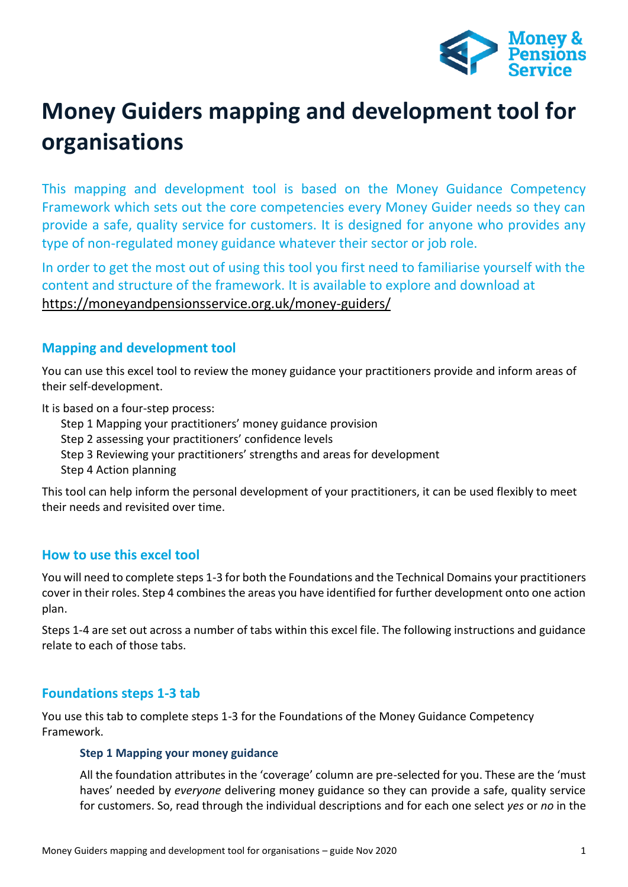

# **Money Guiders mapping and development tool for organisations**

This mapping and development tool is based on the Money Guidance Competency Framework which sets out the core competencies every Money Guider needs so they can provide a safe, quality service for customers. It is designed for anyone who provides any type of non-regulated money guidance whatever their sector or job role.

In order to get the most out of using this tool you first need to familiarise yourself with the content and structure of the framework. It is available to explore and download at <https://moneyandpensionsservice.org.uk/money-guiders/>

# **Mapping and development tool**

You can use this excel tool to review the money guidance your practitioners provide and inform areas of their self-development.

It is based on a four-step process:

Step 1 Mapping your practitioners' money guidance provision Step 2 assessing your practitioners' confidence levels

Step 3 Reviewing your practitioners' strengths and areas for development

Step 4 Action planning

This tool can help inform the personal development of your practitioners, it can be used flexibly to meet their needs and revisited over time.

# **How to use this excel tool**

You will need to complete steps 1-3 for both the Foundations and the Technical Domains your practitioners cover in their roles. Step 4 combines the areas you have identified for further development onto one action plan.

Steps 1-4 are set out across a number of tabs within this excel file. The following instructions and guidance relate to each of those tabs.

# **Foundations steps 1-3 tab**

You use this tab to complete steps 1-3 for the Foundations of the Money Guidance Competency Framework.

# **Step 1 Mapping your money guidance**

All the foundation attributes in the 'coverage' column are pre-selected for you. These are the 'must haves' needed by *everyone* delivering money guidance so they can provide a safe, quality service for customers. So, read through the individual descriptions and for each one select *yes* or *no* in the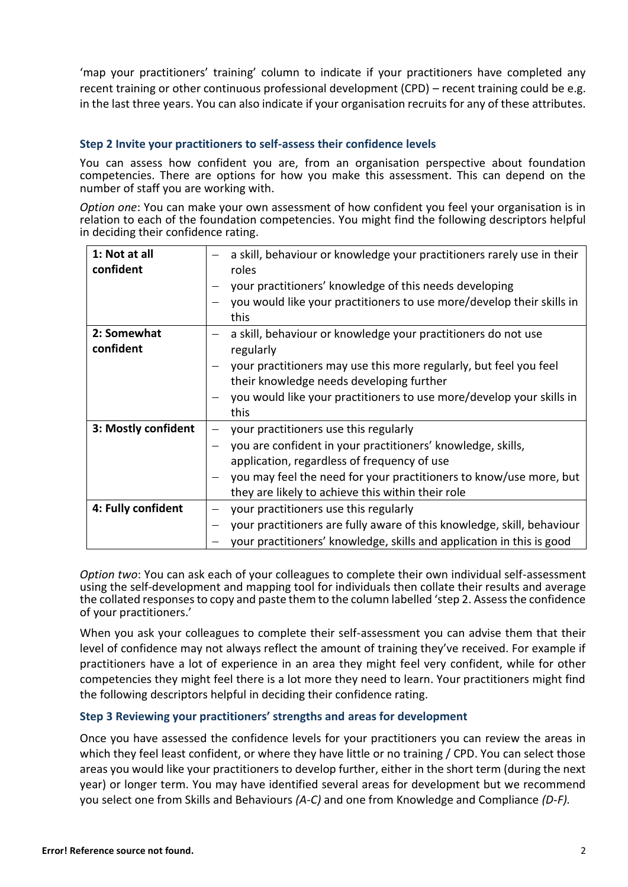'map your practitioners' training' column to indicate if your practitioners have completed any recent training or other continuous professional development (CPD) – recent training could be e.g. in the last three years. You can also indicate if your organisation recruits for any of these attributes.

### **Step 2 Invite your practitioners to self-assess their confidence levels**

You can assess how confident you are, from an organisation perspective about foundation competencies. There are options for how you make this assessment. This can depend on the number of staff you are working with.

*Option one*: You can make your own assessment of how confident you feel your organisation is in relation to each of the foundation competencies. You might find the following descriptors helpful in deciding their confidence rating.

| 1: Not at all<br>confident | a skill, behaviour or knowledge your practitioners rarely use in their<br>roles |
|----------------------------|---------------------------------------------------------------------------------|
|                            | your practitioners' knowledge of this needs developing                          |
|                            | you would like your practitioners to use more/develop their skills in<br>this   |
| 2: Somewhat                | a skill, behaviour or knowledge your practitioners do not use                   |
| confident                  | regularly                                                                       |
|                            | your practitioners may use this more regularly, but feel you feel               |
|                            | their knowledge needs developing further                                        |
|                            | you would like your practitioners to use more/develop your skills in            |
|                            | this                                                                            |
| 3: Mostly confident        | your practitioners use this regularly                                           |
|                            | you are confident in your practitioners' knowledge, skills,                     |
|                            | application, regardless of frequency of use                                     |
|                            | you may feel the need for your practitioners to know/use more, but              |
|                            | they are likely to achieve this within their role                               |
| 4: Fully confident         | your practitioners use this regularly                                           |
|                            | your practitioners are fully aware of this knowledge, skill, behaviour          |
|                            | your practitioners' knowledge, skills and application in this is good           |

*Option two*: You can ask each of your colleagues to complete their own individual self-assessment using the self-development and mapping tool for individuals then collate their results and average the collated responses to copy and paste them to the column labelled 'step 2. Assess the confidence of your practitioners.'

When you ask your colleagues to complete their self-assessment you can advise them that their level of confidence may not always reflect the amount of training they've received. For example if practitioners have a lot of experience in an area they might feel very confident, while for other competencies they might feel there is a lot more they need to learn. Your practitioners might find the following descriptors helpful in deciding their confidence rating.

#### **Step 3 Reviewing your practitioners' strengths and areas for development**

Once you have assessed the confidence levels for your practitioners you can review the areas in which they feel least confident, or where they have little or no training / CPD. You can select those areas you would like your practitioners to develop further, either in the short term (during the next year) or longer term. You may have identified several areas for development but we recommend you select one from Skills and Behaviours *(A-C)* and one from Knowledge and Compliance *(D-F).*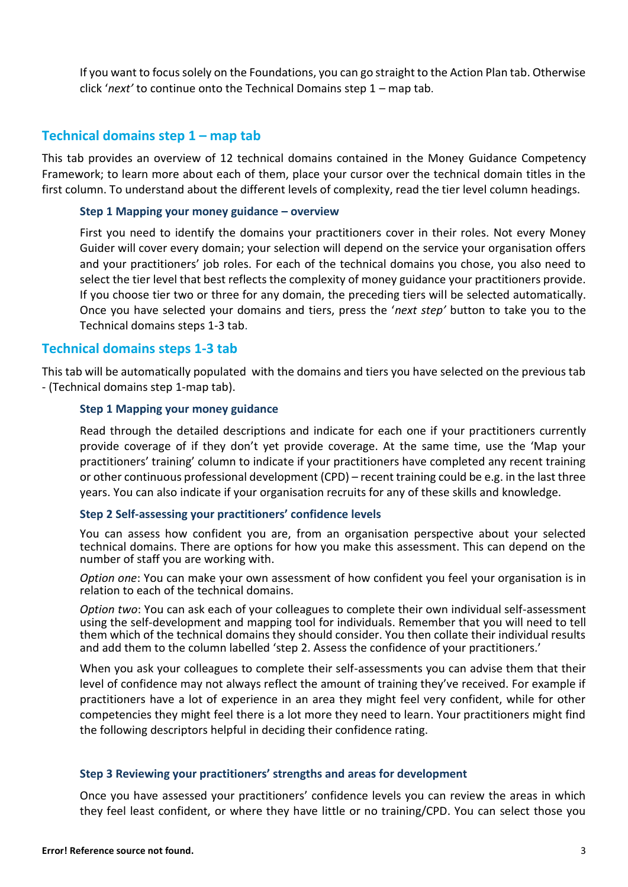If you want to focus solely on the Foundations, you can go straight to the Action Plan tab. Otherwise click '*next'* to continue onto the Technical Domains step 1 – map tab.

# **Technical domains step 1 – map tab**

This tab provides an overview of 12 technical domains contained in the Money Guidance Competency Framework; to learn more about each of them, place your cursor over the technical domain titles in the first column. To understand about the different levels of complexity, read the tier level column headings.

#### **Step 1 Mapping your money guidance – overview**

First you need to identify the domains your practitioners cover in their roles. Not every Money Guider will cover every domain; your selection will depend on the service your organisation offers and your practitioners' job roles. For each of the technical domains you chose, you also need to select the tier level that best reflects the complexity of money guidance your practitioners provide. If you choose tier two or three for any domain, the preceding tiers will be selected automatically. Once you have selected your domains and tiers, press the '*next step'* button to take you to the Technical domains steps 1-3 tab.

## **Technical domains steps 1-3 tab**

This tab will be automatically populated with the domains and tiers you have selected on the previous tab - (Technical domains step 1-map tab).

## **Step 1 Mapping your money guidance**

Read through the detailed descriptions and indicate for each one if your practitioners currently provide coverage of if they don't yet provide coverage. At the same time, use the 'Map your practitioners' training' column to indicate if your practitioners have completed any recent training or other continuous professional development (CPD) – recent training could be e.g. in the last three years. You can also indicate if your organisation recruits for any of these skills and knowledge.

#### **Step 2 Self-assessing your practitioners' confidence levels**

You can assess how confident you are, from an organisation perspective about your selected technical domains. There are options for how you make this assessment. This can depend on the number of staff you are working with.

*Option one*: You can make your own assessment of how confident you feel your organisation is in relation to each of the technical domains.

*Option two*: You can ask each of your colleagues to complete their own individual self-assessment using the self-development and mapping tool for individuals. Remember that you will need to tell them which of the technical domains they should consider. You then collate their individual results and add them to the column labelled 'step 2. Assess the confidence of your practitioners.'

When you ask your colleagues to complete their self-assessments you can advise them that their level of confidence may not always reflect the amount of training they've received. For example if practitioners have a lot of experience in an area they might feel very confident, while for other competencies they might feel there is a lot more they need to learn. Your practitioners might find the following descriptors helpful in deciding their confidence rating.

#### **Step 3 Reviewing your practitioners' strengths and areas for development**

Once you have assessed your practitioners' confidence levels you can review the areas in which they feel least confident, or where they have little or no training/CPD. You can select those you